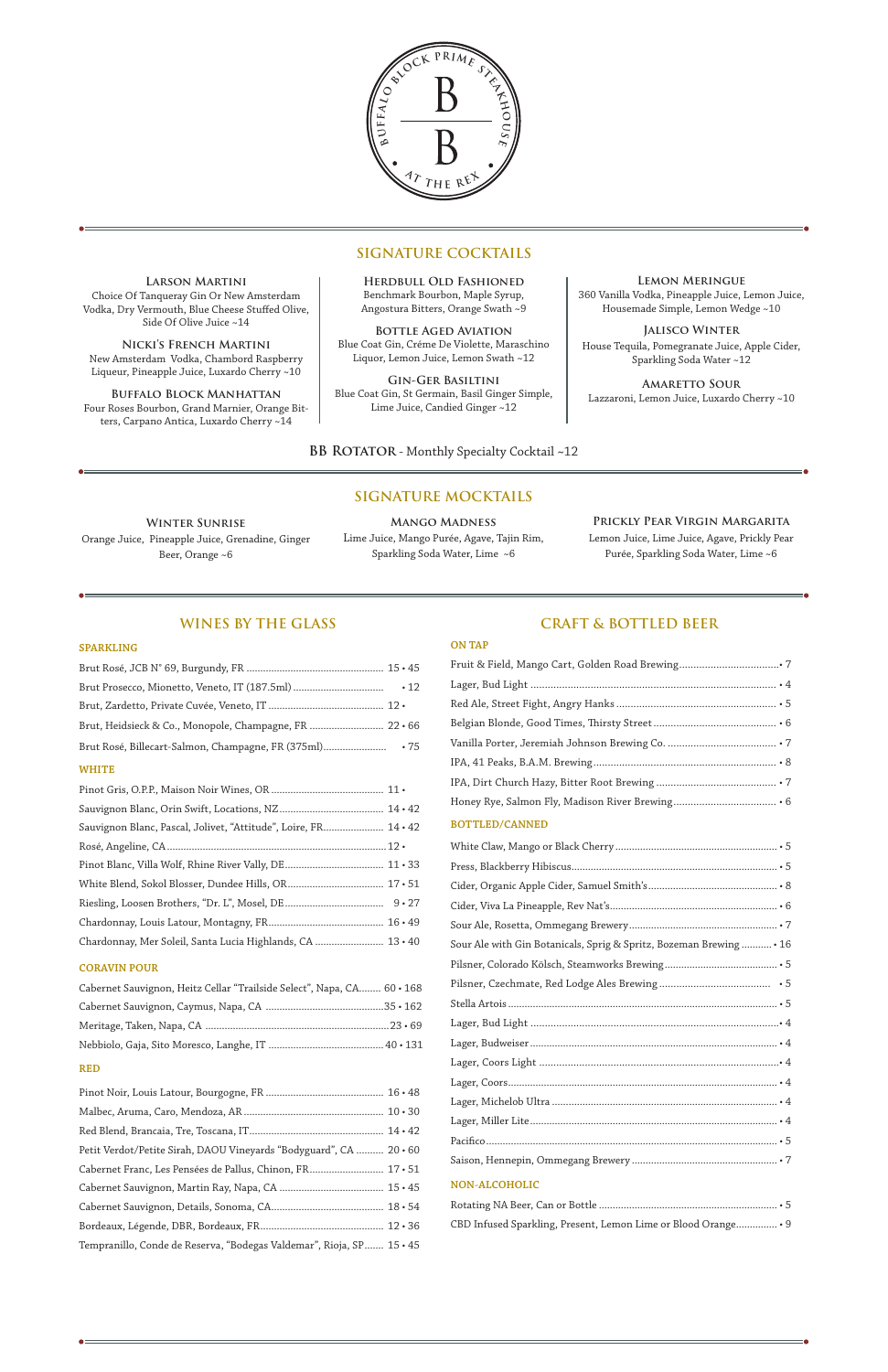

# **WINES BY THE GLASS**

#### **SPARKLING**

| Brut Prosecco, Mionetto, Veneto, IT (187.5ml)                   | $\cdot$ 12 |
|-----------------------------------------------------------------|------------|
|                                                                 |            |
| Brut, Heidsieck & Co., Monopole, Champagne, FR  22 · 66         |            |
|                                                                 |            |
| <b>WHITE</b>                                                    |            |
|                                                                 |            |
|                                                                 |            |
| Sauvignon Blanc, Pascal, Jolivet, "Attitude", Loire, FR 14 · 42 |            |
|                                                                 |            |
|                                                                 |            |
|                                                                 |            |
|                                                                 |            |
|                                                                 |            |
| Chardonnay, Mer Soleil, Santa Lucia Highlands, CA  13 · 40      |            |

#### **CORAVIN POUR**

| Cabernet Sauvignon, Heitz Cellar "Trailside Select", Napa, CA 60 · 168 |
|------------------------------------------------------------------------|
|                                                                        |
|                                                                        |
|                                                                        |
| <b>RED</b>                                                             |
|                                                                        |
|                                                                        |
|                                                                        |
|                                                                        |
| Petit Verdot/Petite Sirah, DAOU Vineyards "Bodyguard", CA  20 · 60     |

Cabernet Sauvignon, Martin Ray, Napa, CA ...................................... 15 • 45 Cabernet Sauvignon, Details, Sonoma, CA......................................... 18 • 54 Bordeaux, Légende, DBR, Bordeaux, FR............................................. 12 • 36 Tempranillo, Conde de Reserva, "Bodegas Valdemar", Rioja, SP....... 15 • 45

# **CRAFT & BOTTLED BEER**

#### **ON TAP**

| <b>BOTTLED/CANNED</b>                                              |
|--------------------------------------------------------------------|
|                                                                    |
|                                                                    |
|                                                                    |
|                                                                    |
|                                                                    |
| Sour Ale with Gin Botanicals, Sprig & Spritz, Bozeman Brewing • 16 |
|                                                                    |
|                                                                    |

Pilsner, Czechmate, Red Lodge Ales Brewing ....................................... • 5 Stella Artois .................................................................................................. • 5

#### **NON-ALCOHOLIC**

| CBD Infused Sparkling, Present, Lemon Lime or Blood Orange . 9 |
|----------------------------------------------------------------|

**Larson Martini** Choice Of Tanqueray Gin Or New Amsterdam Vodka, Dry Vermouth, Blue Cheese Stuffed Olive, Side Of Olive Juice ~14

**Nicki's French Martini** New Amsterdam Vodka, Chambord Raspberry Liqueur, Pineapple Juice, Luxardo Cherry ~10 **Buffalo Block Manhattan** Four Roses Bourbon, Grand Marnier, Orange Bitters, Carpano Antica, Luxardo Cherry ~14

# **SIGNATURE COCKTAILS**

**Herdbull Old Fashioned** Benchmark Bourbon, Maple Syrup, Angostura Bitters, Orange Swath ~9

**Bottle Aged Aviation** Blue Coat Gin, Créme De Violette, Maraschino Liquor, Lemon Juice, Lemon Swath ~12

**Gin-Ger Basiltini** Blue Coat Gin, St Germain, Basil Ginger Simple, Lime Juice, Candied Ginger ~12

**Lemon Meringue** 360 Vanilla Vodka, Pineapple Juice, Lemon Juice, Housemade Simple, Lemon Wedge ~10

**Jalisco Winter** House Tequila, Pomegranate Juice, Apple Cider, Sparkling Soda Water ~12

**Amaretto Sour** Lazzaroni, Lemon Juice, Luxardo Cherry ~10

**BB ROTATOR** - Monthly Specialty Cocktail ~12

**Winter Sunrise** Orange Juice, Pineapple Juice, Grenadine, Ginger Beer, Orange ~6

# **SIGNATURE MOCKTAILS**

**Mango Madness** Lime Juice, Mango Purée, Agave, Tajin Rim, Sparkling Soda Water, Lime ~6

#### **Prickly Pear Virgin Margarita**

Lemon Juice, Lime Juice, Agave, Prickly Pear Purée, Sparkling Soda Water, Lime ~6